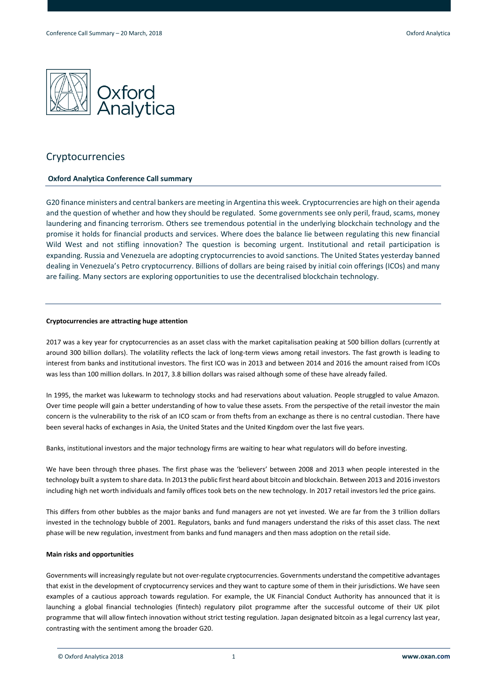

# Cryptocurrencies

## **Oxford Analytica Conference Call summary**

G20 finance ministers and central bankers are meeting in Argentina this week. Cryptocurrencies are high on their agenda and the question of whether and how they should be regulated. Some governments see only peril, fraud, scams, money laundering and financing terrorism. Others see tremendous potential in the underlying blockchain technology and the promise it holds for financial products and services. Where does the balance lie between regulating this new financial Wild West and not stifling innovation? The question is becoming urgent. Institutional and retail participation is expanding. Russia and Venezuela are adopting cryptocurrencies to avoid sanctions. The United States yesterday banned dealing in Venezuela's Petro cryptocurrency. Billions of dollars are being raised by initial coin offerings (ICOs) and many are failing. Many sectors are exploring opportunities to use the decentralised blockchain technology.

## **Cryptocurrencies are attracting huge attention**

2017 was a key year for cryptocurrencies as an asset class with the market capitalisation peaking at 500 billion dollars (currently at around 300 billion dollars). The volatility reflects the lack of long-term views among retail investors. The fast growth is leading to interest from banks and institutional investors. The first ICO was in 2013 and between 2014 and 2016 the amount raised from ICOs was less than 100 million dollars. In 2017, 3.8 billion dollars was raised although some of these have already failed.

In 1995, the market was lukewarm to technology stocks and had reservations about valuation. People struggled to value Amazon. Over time people will gain a better understanding of how to value these assets. From the perspective of the retail investor the main concern is the vulnerability to the risk of an ICO scam or from thefts from an exchange as there is no central custodian. There have been several hacks of exchanges in Asia, the United States and the United Kingdom over the last five years.

Banks, institutional investors and the major technology firms are waiting to hear what regulators will do before investing.

We have been through three phases. The first phase was the 'believers' between 2008 and 2013 when people interested in the technology built a system to share data. In 2013 the public first heard about bitcoin and blockchain. Between 2013 and 2016 investors including high net worth individuals and family offices took bets on the new technology. In 2017 retail investors led the price gains.

This differs from other bubbles as the major banks and fund managers are not yet invested. We are far from the 3 trillion dollars invested in the technology bubble of 2001. Regulators, banks and fund managers understand the risks of this asset class. The next phase will be new regulation, investment from banks and fund managers and then mass adoption on the retail side.

## **Main risks and opportunities**

Governments will increasingly regulate but not over-regulate cryptocurrencies. Governments understand the competitive advantages that exist in the development of cryptocurrency services and they want to capture some of them in their jurisdictions. We have seen examples of a cautious approach towards regulation. For example, the UK Financial Conduct Authority has announced that it is launching a global financial technologies (fintech) regulatory pilot programme after the successful outcome of their UK pilot programme that will allow fintech innovation without strict testing regulation. Japan designated bitcoin as a legal currency last year, contrasting with the sentiment among the broader G20.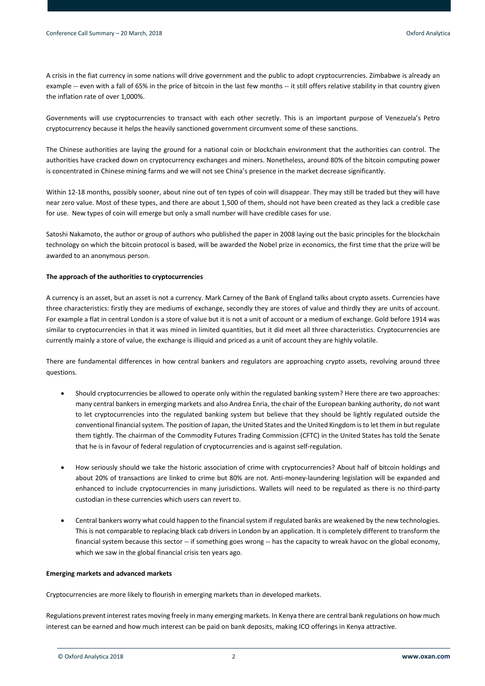A crisis in the fiat currency in some nations will drive government and the public to adopt cryptocurrencies. Zimbabwe is already an example -- even with a fall of 65% in the price of bitcoin in the last few months -- it still offers relative stability in that country given the inflation rate of over 1,000%.

Governments will use cryptocurrencies to transact with each other secretly. This is an important purpose of Venezuela's Petro cryptocurrency because it helps the heavily sanctioned government circumvent some of these sanctions.

The Chinese authorities are laying the ground for a national coin or blockchain environment that the authorities can control. The authorities have cracked down on cryptocurrency exchanges and miners. Nonetheless, around 80% of the bitcoin computing power is concentrated in Chinese mining farms and we will not see China's presence in the market decrease significantly.

Within 12-18 months, possibly sooner, about nine out of ten types of coin will disappear. They may still be traded but they will have near zero value. Most of these types, and there are about 1,500 of them, should not have been created as they lack a credible case for use. New types of coin will emerge but only a small number will have credible cases for use.

Satoshi Nakamoto, the author or group of authors who published the paper in 2008 laying out the basic principles for the blockchain technology on which the bitcoin protocol is based, will be awarded the Nobel prize in economics, the first time that the prize will be awarded to an anonymous person.

## **The approach of the authorities to cryptocurrencies**

A currency is an asset, but an asset is not a currency. Mark Carney of the Bank of England talks about crypto assets. Currencies have three characteristics: firstly they are mediums of exchange, secondly they are stores of value and thirdly they are units of account. For example a flat in central London is a store of value but it is not a unit of account or a medium of exchange. Gold before 1914 was similar to cryptocurrencies in that it was mined in limited quantities, but it did meet all three characteristics. Cryptocurrencies are currently mainly a store of value, the exchange is illiquid and priced as a unit of account they are highly volatile.

There are fundamental differences in how central bankers and regulators are approaching crypto assets, revolving around three questions.

- Should cryptocurrencies be allowed to operate only within the regulated banking system? Here there are two approaches: many central bankers in emerging markets and also Andrea Enria, the chair of the European banking authority, do not want to let cryptocurrencies into the regulated banking system but believe that they should be lightly regulated outside the conventional financial system. The position of Japan, the United States and the United Kingdom is to let them in but regulate them tightly. The chairman of the Commodity Futures Trading Commission (CFTC) in the United States has told the Senate that he is in favour of federal regulation of cryptocurrencies and is against self-regulation.
- How seriously should we take the historic association of crime with cryptocurrencies? About half of bitcoin holdings and about 20% of transactions are linked to crime but 80% are not. Anti-money-laundering legislation will be expanded and enhanced to include cryptocurrencies in many jurisdictions. Wallets will need to be regulated as there is no third-party custodian in these currencies which users can revert to.
- Central bankers worry what could happen to the financial system if regulated banks are weakened by the new technologies. This is not comparable to replacing black cab drivers in London by an application. It is completely different to transform the financial system because this sector -- if something goes wrong -- has the capacity to wreak havoc on the global economy, which we saw in the global financial crisis ten years ago.

## **Emerging markets and advanced markets**

Cryptocurrencies are more likely to flourish in emerging markets than in developed markets.

Regulations prevent interest rates moving freely in many emerging markets. In Kenya there are central bank regulations on how much interest can be earned and how much interest can be paid on bank deposits, making ICO offerings in Kenya attractive.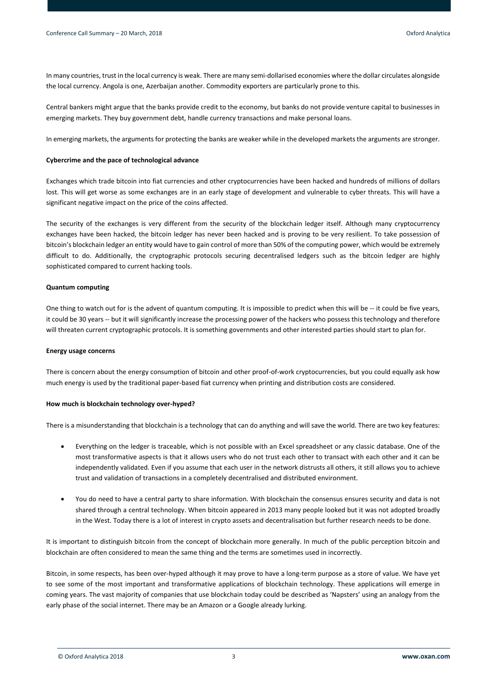In many countries, trust in the local currency is weak. There are many semi-dollarised economies where the dollar circulates alongside the local currency. Angola is one, Azerbaijan another. Commodity exporters are particularly prone to this.

Central bankers might argue that the banks provide credit to the economy, but banks do not provide venture capital to businesses in emerging markets. They buy government debt, handle currency transactions and make personal loans.

In emerging markets, the arguments for protecting the banks are weaker while in the developed markets the arguments are stronger.

#### **Cybercrime and the pace of technological advance**

Exchanges which trade bitcoin into fiat currencies and other cryptocurrencies have been hacked and hundreds of millions of dollars lost. This will get worse as some exchanges are in an early stage of development and vulnerable to cyber threats. This will have a significant negative impact on the price of the coins affected.

The security of the exchanges is very different from the security of the blockchain ledger itself. Although many cryptocurrency exchanges have been hacked, the bitcoin ledger has never been hacked and is proving to be very resilient. To take possession of bitcoin's blockchain ledger an entity would have to gain control of more than 50% of the computing power, which would be extremely difficult to do. Additionally, the cryptographic protocols securing decentralised ledgers such as the bitcoin ledger are highly sophisticated compared to current hacking tools.

## **Quantum computing**

One thing to watch out for is the advent of quantum computing. It is impossible to predict when this will be -- it could be five years, it could be 30 years -- but it will significantly increase the processing power of the hackers who possess this technology and therefore will threaten current cryptographic protocols. It is something governments and other interested parties should start to plan for.

#### **Energy usage concerns**

There is concern about the energy consumption of bitcoin and other proof-of-work cryptocurrencies, but you could equally ask how much energy is used by the traditional paper-based fiat currency when printing and distribution costs are considered.

#### **How much is blockchain technology over-hyped?**

There is a misunderstanding that blockchain is a technology that can do anything and will save the world. There are two key features:

- Everything on the ledger is traceable, which is not possible with an Excel spreadsheet or any classic database. One of the most transformative aspects is that it allows users who do not trust each other to transact with each other and it can be independently validated. Even if you assume that each user in the network distrusts all others, it still allows you to achieve trust and validation of transactions in a completely decentralised and distributed environment.
- You do need to have a central party to share information. With blockchain the consensus ensures security and data is not shared through a central technology. When bitcoin appeared in 2013 many people looked but it was not adopted broadly in the West. Today there is a lot of interest in crypto assets and decentralisation but further research needs to be done.

It is important to distinguish bitcoin from the concept of blockchain more generally. In much of the public perception bitcoin and blockchain are often considered to mean the same thing and the terms are sometimes used in incorrectly.

Bitcoin, in some respects, has been over-hyped although it may prove to have a long-term purpose as a store of value. We have yet to see some of the most important and transformative applications of blockchain technology. These applications will emerge in coming years. The vast majority of companies that use blockchain today could be described as 'Napsters' using an analogy from the early phase of the social internet. There may be an Amazon or a Google already lurking.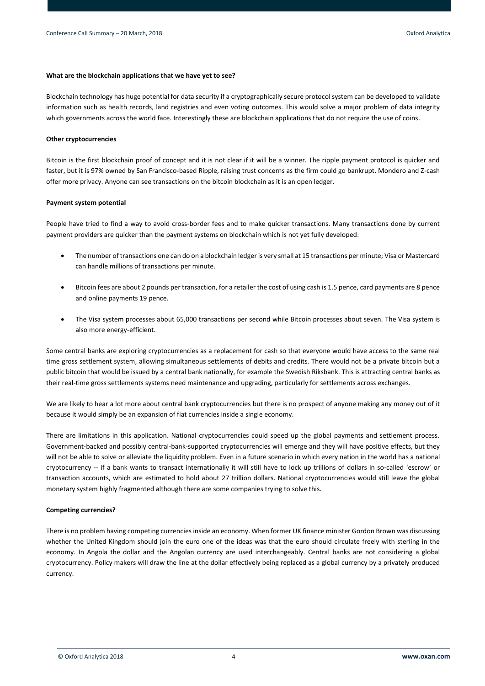## **What are the blockchain applications that we have yet to see?**

Blockchain technology has huge potential for data security if a cryptographically secure protocol system can be developed to validate information such as health records, land registries and even voting outcomes. This would solve a major problem of data integrity which governments across the world face. Interestingly these are blockchain applications that do not require the use of coins.

## **Other cryptocurrencies**

Bitcoin is the first blockchain proof of concept and it is not clear if it will be a winner. The ripple payment protocol is quicker and faster, but it is 97% owned by San Francisco-based Ripple, raising trust concerns as the firm could go bankrupt. Mondero and Z-cash offer more privacy. Anyone can see transactions on the bitcoin blockchain as it is an open ledger.

## **Payment system potential**

People have tried to find a way to avoid cross-border fees and to make quicker transactions. Many transactions done by current payment providers are quicker than the payment systems on blockchain which is not yet fully developed:

- The number of transactions one can do on a blockchain ledger is very small at 15 transactions per minute; Visa or Mastercard can handle millions of transactions per minute.
- Bitcoin fees are about 2 pounds per transaction, for a retailer the cost of using cash is 1.5 pence, card payments are 8 pence and online payments 19 pence.
- The Visa system processes about 65,000 transactions per second while Bitcoin processes about seven. The Visa system is also more energy-efficient.

Some central banks are exploring cryptocurrencies as a replacement for cash so that everyone would have access to the same real time gross settlement system, allowing simultaneous settlements of debits and credits. There would not be a private bitcoin but a public bitcoin that would be issued by a central bank nationally, for example the Swedish Riksbank. This is attracting central banks as their real-time gross settlements systems need maintenance and upgrading, particularly for settlements across exchanges.

We are likely to hear a lot more about central bank cryptocurrencies but there is no prospect of anyone making any money out of it because it would simply be an expansion of fiat currencies inside a single economy.

There are limitations in this application. National cryptocurrencies could speed up the global payments and settlement process. Government-backed and possibly central-bank-supported cryptocurrencies will emerge and they will have positive effects, but they will not be able to solve or alleviate the liquidity problem. Even in a future scenario in which every nation in the world has a national cryptocurrency -- if a bank wants to transact internationally it will still have to lock up trillions of dollars in so-called 'escrow' or transaction accounts, which are estimated to hold about 27 trillion dollars. National cryptocurrencies would still leave the global monetary system highly fragmented although there are some companies trying to solve this.

## **Competing currencies?**

There is no problem having competing currencies inside an economy. When former UK finance minister Gordon Brown was discussing whether the United Kingdom should join the euro one of the ideas was that the euro should circulate freely with sterling in the economy. In Angola the dollar and the Angolan currency are used interchangeably. Central banks are not considering a global cryptocurrency. Policy makers will draw the line at the dollar effectively being replaced as a global currency by a privately produced currency.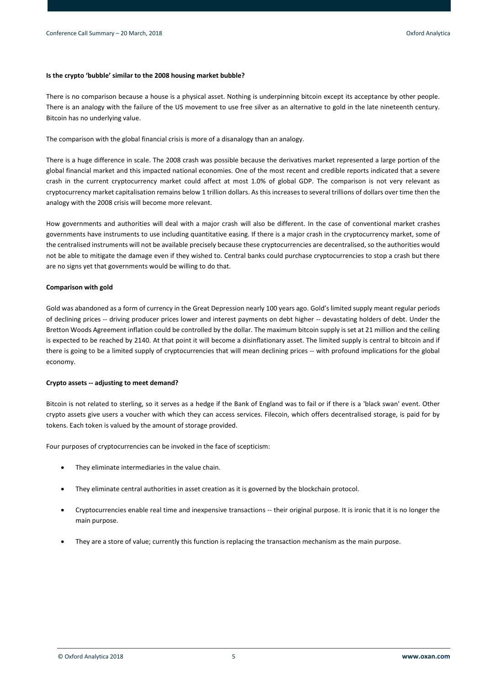## **Is the crypto 'bubble' similar to the 2008 housing market bubble?**

There is no comparison because a house is a physical asset. Nothing is underpinning bitcoin except its acceptance by other people. There is an analogy with the failure of the US movement to use free silver as an alternative to gold in the late nineteenth century. Bitcoin has no underlying value.

The comparison with the global financial crisis is more of a disanalogy than an analogy.

There is a huge difference in scale. The 2008 crash was possible because the derivatives market represented a large portion of the global financial market and this impacted national economies. One of the most recent and credible reports indicated that a severe crash in the current cryptocurrency market could affect at most 1.0% of global GDP. The comparison is not very relevant as cryptocurrency market capitalisation remains below 1 trillion dollars. As this increases to several trillions of dollars over time then the analogy with the 2008 crisis will become more relevant.

How governments and authorities will deal with a major crash will also be different. In the case of conventional market crashes governments have instruments to use including quantitative easing. If there is a major crash in the cryptocurrency market, some of the centralised instruments will not be available precisely because these cryptocurrencies are decentralised, so the authorities would not be able to mitigate the damage even if they wished to. Central banks could purchase cryptocurrencies to stop a crash but there are no signs yet that governments would be willing to do that.

## **Comparison with gold**

Gold was abandoned as a form of currency in the Great Depression nearly 100 years ago. Gold's limited supply meant regular periods of declining prices -- driving producer prices lower and interest payments on debt higher -- devastating holders of debt. Under the Bretton Woods Agreement inflation could be controlled by the dollar. The maximum bitcoin supply is set at 21 million and the ceiling is expected to be reached by 2140. At that point it will become a disinflationary asset. The limited supply is central to bitcoin and if there is going to be a limited supply of cryptocurrencies that will mean declining prices -- with profound implications for the global economy.

## **Crypto assets -- adjusting to meet demand?**

Bitcoin is not related to sterling, so it serves as a hedge if the Bank of England was to fail or if there is a 'black swan' event. Other crypto assets give users a voucher with which they can access services. Filecoin, which offers decentralised storage, is paid for by tokens. Each token is valued by the amount of storage provided.

Four purposes of cryptocurrencies can be invoked in the face of scepticism:

- They eliminate intermediaries in the value chain.
- They eliminate central authorities in asset creation as it is governed by the blockchain protocol.
- Cryptocurrencies enable real time and inexpensive transactions -- their original purpose. It is ironic that it is no longer the main purpose.
- They are a store of value; currently this function is replacing the transaction mechanism as the main purpose.